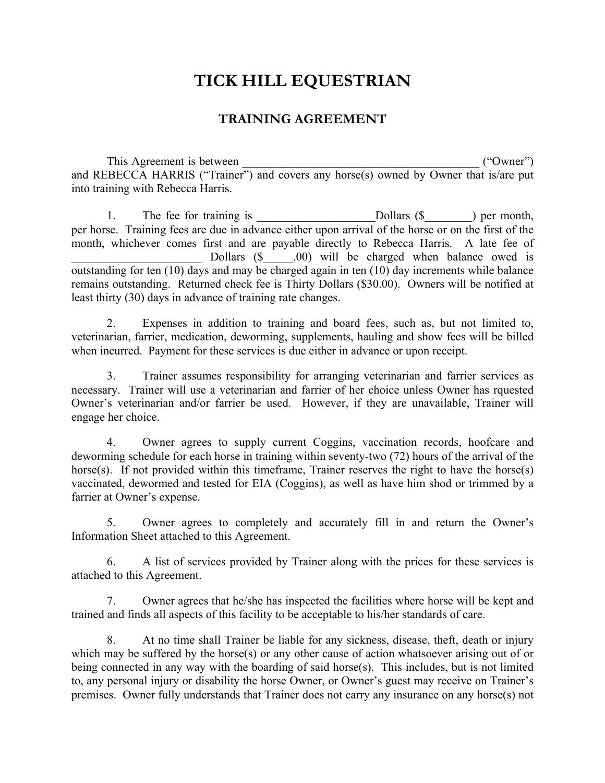## **TICK HILL EQUESTRIAN**

## **TRAINING AGREEMENT**

This Agreement is between the same of the same of the same of the same of the same of the same of the same of the same of the same of the same of the same of the same of the same of the same of the same of the same of the and REBECCA HARRIS ("Trainer") and covers any horse(s) owned by Owner that is/are put into training with Rebecca Harris.

1. The fee for training is Dollars (\$) per month, per horse. Training fees are due in advance either upon arrival of the horse or on the first of the month, whichever comes first and are payable directly to Rebecca Harris. A late fee of Dollars  $(\$$  \_\_\_\_\_.00) will be charged when balance owed is outstanding for ten (10) days and may be charged again in ten (10) day increments while balance remains outstanding. Returned check fee is Thirty Dollars (\$30.00). Owners will be notified at least thirty (30) days in advance of training rate changes.

2. Expenses in addition to training and board fees, such as, but not limited to, veterinarian, farrier, medication, deworming, supplements, hauling and show fees will be billed when incurred. Payment for these services is due either in advance or upon receipt.

3. Trainer assumes responsibility for arranging veterinarian and farrier services as necessary. Trainer will use a veterinarian and farrier of her choice unless Owner has rquested Owner's veterinarian and/or farrier be used. However, if they are unavailable, Trainer will engage her choice.

4. Owner agrees to supply current Coggins, vaccination records, hoofcare and deworming schedule for each horse in training within seventy-two (72) hours of the arrival of the horse(s). If not provided within this timeframe, Trainer reserves the right to have the horse(s) vaccinated, dewormed and tested for EIA (Coggins), as well as have him shod or trimmed by a farrier at Owner's expense.

5. Owner agrees to completely and accurately fill in and return the Owner's Information Sheet attached to this Agreement.

6. A list of services provided by Trainer along with the prices for these services is attached to this Agreement.

7. Owner agrees that he/she has inspected the facilities where horse will be kept and trained and finds all aspects of this facility to be acceptable to his/her standards of care.

8. At no time shall Trainer be liable for any sickness, disease, theft, death or injury which may be suffered by the horse(s) or any other cause of action whatsoever arising out of or being connected in any way with the boarding of said horse(s). This includes, but is not limited to, any personal injury or disability the horse Owner, or Owner's guest may receive on Trainer's premises. Owner fully understands that Trainer does not carry any insurance on any horse(s) not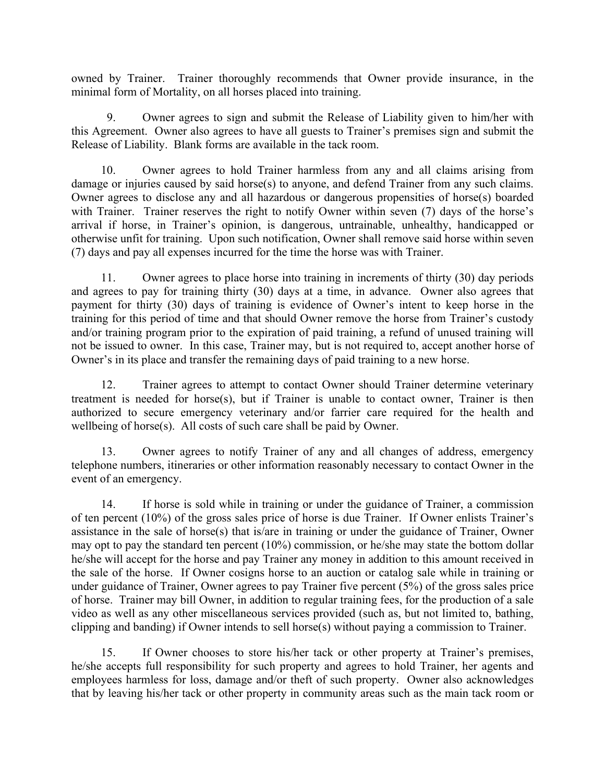owned by Trainer. Trainer thoroughly recommends that Owner provide insurance, in the minimal form of Mortality, on all horses placed into training.

9. Owner agrees to sign and submit the Release of Liability given to him/her with this Agreement. Owner also agrees to have all guests to Trainer's premises sign and submit the Release of Liability. Blank forms are available in the tack room.

10. Owner agrees to hold Trainer harmless from any and all claims arising from damage or injuries caused by said horse(s) to anyone, and defend Trainer from any such claims. Owner agrees to disclose any and all hazardous or dangerous propensities of horse(s) boarded with Trainer. Trainer reserves the right to notify Owner within seven (7) days of the horse's arrival if horse, in Trainer's opinion, is dangerous, untrainable, unhealthy, handicapped or otherwise unfit for training. Upon such notification, Owner shall remove said horse within seven (7) days and pay all expenses incurred for the time the horse was with Trainer.

11. Owner agrees to place horse into training in increments of thirty (30) day periods and agrees to pay for training thirty (30) days at a time, in advance. Owner also agrees that payment for thirty (30) days of training is evidence of Owner's intent to keep horse in the training for this period of time and that should Owner remove the horse from Trainer's custody and/or training program prior to the expiration of paid training, a refund of unused training will not be issued to owner. In this case, Trainer may, but is not required to, accept another horse of Owner's in its place and transfer the remaining days of paid training to a new horse.

12. Trainer agrees to attempt to contact Owner should Trainer determine veterinary treatment is needed for horse(s), but if Trainer is unable to contact owner, Trainer is then authorized to secure emergency veterinary and/or farrier care required for the health and wellbeing of horse(s). All costs of such care shall be paid by Owner.

13. Owner agrees to notify Trainer of any and all changes of address, emergency telephone numbers, itineraries or other information reasonably necessary to contact Owner in the event of an emergency.

14. If horse is sold while in training or under the guidance of Trainer, a commission of ten percent (10%) of the gross sales price of horse is due Trainer. If Owner enlists Trainer's assistance in the sale of horse(s) that is/are in training or under the guidance of Trainer, Owner may opt to pay the standard ten percent (10%) commission, or he/she may state the bottom dollar he/she will accept for the horse and pay Trainer any money in addition to this amount received in the sale of the horse. If Owner cosigns horse to an auction or catalog sale while in training or under guidance of Trainer, Owner agrees to pay Trainer five percent (5%) of the gross sales price of horse. Trainer may bill Owner, in addition to regular training fees, for the production of a sale video as well as any other miscellaneous services provided (such as, but not limited to, bathing, clipping and banding) if Owner intends to sell horse(s) without paying a commission to Trainer.

15. If Owner chooses to store his/her tack or other property at Trainer's premises, he/she accepts full responsibility for such property and agrees to hold Trainer, her agents and employees harmless for loss, damage and/or theft of such property. Owner also acknowledges that by leaving his/her tack or other property in community areas such as the main tack room or